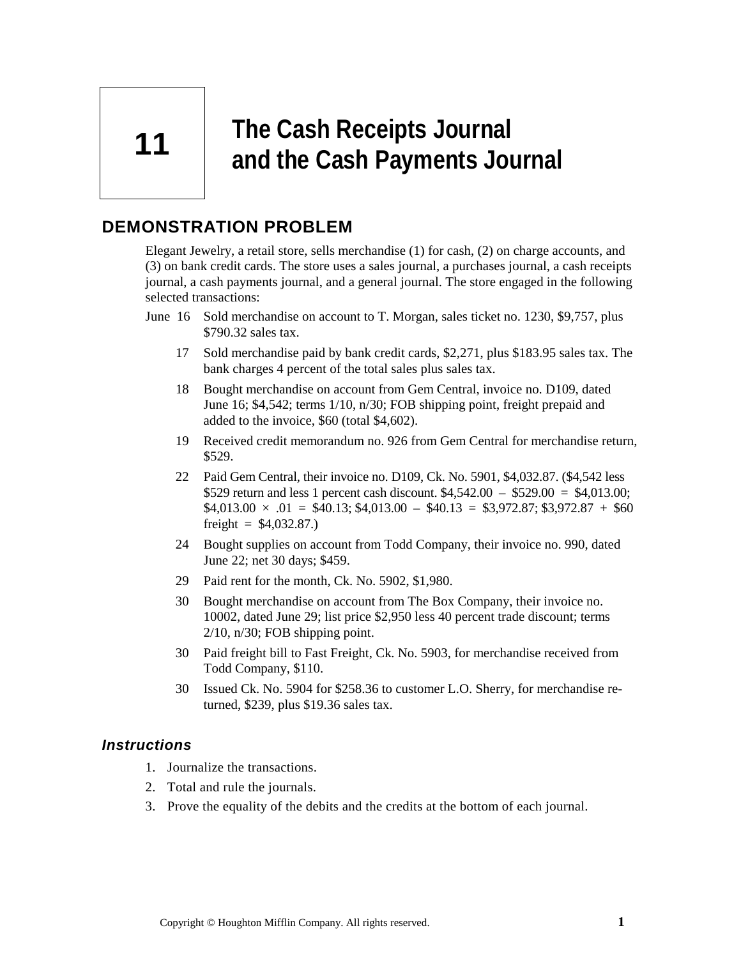**11** 

# **The Cash Receipts Journal and the Cash Payments Journal**

# **DEMONSTRATION PROBLEM**

Elegant Jewelry, a retail store, sells merchandise (1) for cash, (2) on charge accounts, and (3) on bank credit cards. The store uses a sales journal, a purchases journal, a cash receipts journal, a cash payments journal, and a general journal. The store engaged in the following selected transactions:

- June 16 Sold merchandise on account to T. Morgan, sales ticket no. 1230, \$9,757, plus \$790.32 sales tax.
	- 17 Sold merchandise paid by bank credit cards, \$2,271, plus \$183.95 sales tax. The bank charges 4 percent of the total sales plus sales tax.
	- 18 Bought merchandise on account from Gem Central, invoice no. D109, dated June 16; \$4,542; terms 1/10, n/30; FOB shipping point, freight prepaid and added to the invoice, \$60 (total \$4,602).
	- 19 Received credit memorandum no. 926 from Gem Central for merchandise return, \$529.
	- 22 Paid Gem Central, their invoice no. D109, Ck. No. 5901, \$4,032.87. (\$4,542 less \$529 return and less 1 percent cash discount. \$4,542.00 – \$529.00 = \$4,013.00;  $$4,013.00 \times .01 = $40.13; $4,013.00 - $40.13 = $3,972.87; $3,972.87 + $60$ freight =  $$4,032.87$ .
	- 24 Bought supplies on account from Todd Company, their invoice no. 990, dated June 22; net 30 days; \$459.
	- 29 Paid rent for the month, Ck. No. 5902, \$1,980.
	- 30 Bought merchandise on account from The Box Company, their invoice no. 10002, dated June 29; list price \$2,950 less 40 percent trade discount; terms 2/10, n/30; FOB shipping point.
	- 30 Paid freight bill to Fast Freight, Ck. No. 5903, for merchandise received from Todd Company, \$110.
	- 30 Issued Ck. No. 5904 for \$258.36 to customer L.O. Sherry, for merchandise returned, \$239, plus \$19.36 sales tax.

### *Instructions*

- 1. Journalize the transactions.
- 2. Total and rule the journals.
- 3. Prove the equality of the debits and the credits at the bottom of each journal.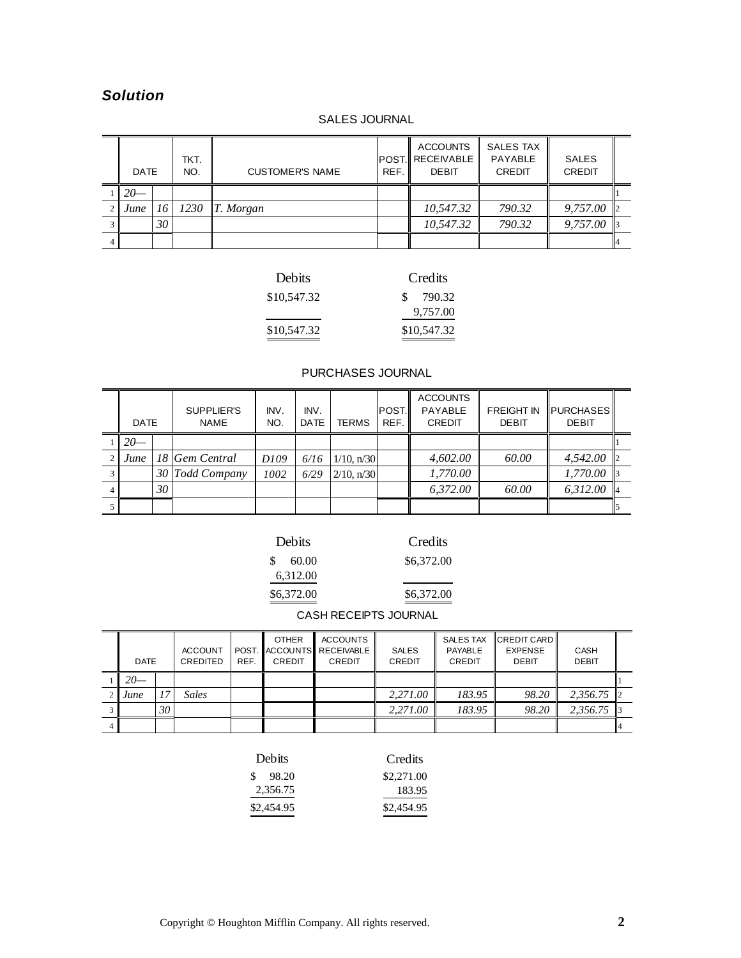## *Solution*

#### SALES JOURNAL

| <b>DATE</b> |    | TKT.<br>NO. | <b>CUSTOMER'S NAME</b> | REF. | <b>ACCOUNTS</b><br><b>POST.IRECEIVABLE</b><br><b>DEBIT</b> | <b>SALES TAX</b><br>PAYABLE<br><b>CREDIT</b> | <b>SALES</b><br><b>CREDIT</b> |  |
|-------------|----|-------------|------------------------|------|------------------------------------------------------------|----------------------------------------------|-------------------------------|--|
| $20-$       |    |             |                        |      |                                                            |                                              |                               |  |
| June        | 16 | 1230        | T. Morgan              |      | 10,547.32                                                  | 790.32                                       | 9,757.00                      |  |
|             | 30 |             |                        |      | 10,547.32                                                  | 790.32                                       | 9,757.00                      |  |
|             |    |             |                        |      |                                                            |                                              |                               |  |

| Debits      | Credits     |
|-------------|-------------|
| \$10,547.32 | \$790.32    |
|             | 9,757.00    |
| \$10,547.32 | \$10,547.32 |

#### PURCHASES JOURNAL

|   | <b>DATE</b> |    | SUPPLIER'S<br><b>NAME</b> | INV.<br>NO.      | INV.<br><b>DATE</b> | <b>TERMS</b>    | IPOST.II<br>REF. | <b>ACCOUNTS</b><br>PAYABLE<br><b>CREDIT</b> | <b>FREIGHT IN</b><br><b>DEBIT</b> | <b>PURCHASES</b><br><b>DEBIT</b> |  |
|---|-------------|----|---------------------------|------------------|---------------------|-----------------|------------------|---------------------------------------------|-----------------------------------|----------------------------------|--|
|   | $\sqrt{20}$ |    |                           |                  |                     |                 |                  |                                             |                                   |                                  |  |
|   | $2$ June    |    | 18 Gem Central            | D <sub>109</sub> | 6/16                | $1/10$ , $n/30$ |                  | 4,602.00                                    | 60.00                             | 4,542.00                         |  |
|   |             |    | 30 Todd Company           | 1002             | 6/29                | $2/10$ , $n/30$ |                  | 1,770.00                                    |                                   | 1,770.00                         |  |
| 4 |             | 30 |                           |                  |                     |                 |                  | 6,372.00                                    | 60.00                             | 6.312.00                         |  |
|   |             |    |                           |                  |                     |                 |                  |                                             |                                   |                                  |  |

| Debits |            |  |  |  |  |
|--------|------------|--|--|--|--|
|        | \$60.00    |  |  |  |  |
|        | 6,312.00   |  |  |  |  |
|        | \$6,372.00 |  |  |  |  |

\$6,372.00 Credits

 $\overline{\phantom{0}}$ 

 $\overline{\phantom{a}}$  $\frac{$6,372.00}{ }$ 

CASH RECEIPTS JOURNAL

| <b>DATE</b> |    | <b>ACCOUNT</b><br>CREDITED | <b>ACCOUNTS</b><br><b>OTHER</b><br>MACCOUNTS RECEIVABLE⊾<br>POST.<br>REF.<br>CREDIT<br>CREDIT |  | <b>SALES</b><br><b>CREDIT</b> | <b>SALES TAX</b><br><b>PAYABLE</b><br>CREDIT | CREDIT CARD<br><b>EXPENSE</b><br><b>DEBIT</b> | <b>CASH</b><br><b>DEBIT</b> |          |              |
|-------------|----|----------------------------|-----------------------------------------------------------------------------------------------|--|-------------------------------|----------------------------------------------|-----------------------------------------------|-----------------------------|----------|--------------|
| $20-$       |    |                            |                                                                                               |  |                               |                                              |                                               |                             |          |              |
| June        | 17 | Sales                      |                                                                                               |  |                               | 2,271.00                                     | 183.95                                        | 98.20                       | 2,356.75 | $\mathbf{D}$ |
|             | 30 |                            |                                                                                               |  |                               | 2,271.00                                     | 183.95                                        | 98.20                       | 2,356.75 |              |
|             |    |                            |                                                                                               |  |                               |                                              |                                               |                             |          |              |

| Debits        | Credits    |
|---------------|------------|
| -98.20<br>SS. | \$2,271.00 |
| 2,356.75      | 183.95     |
| \$2,454.95    | \$2,454.95 |